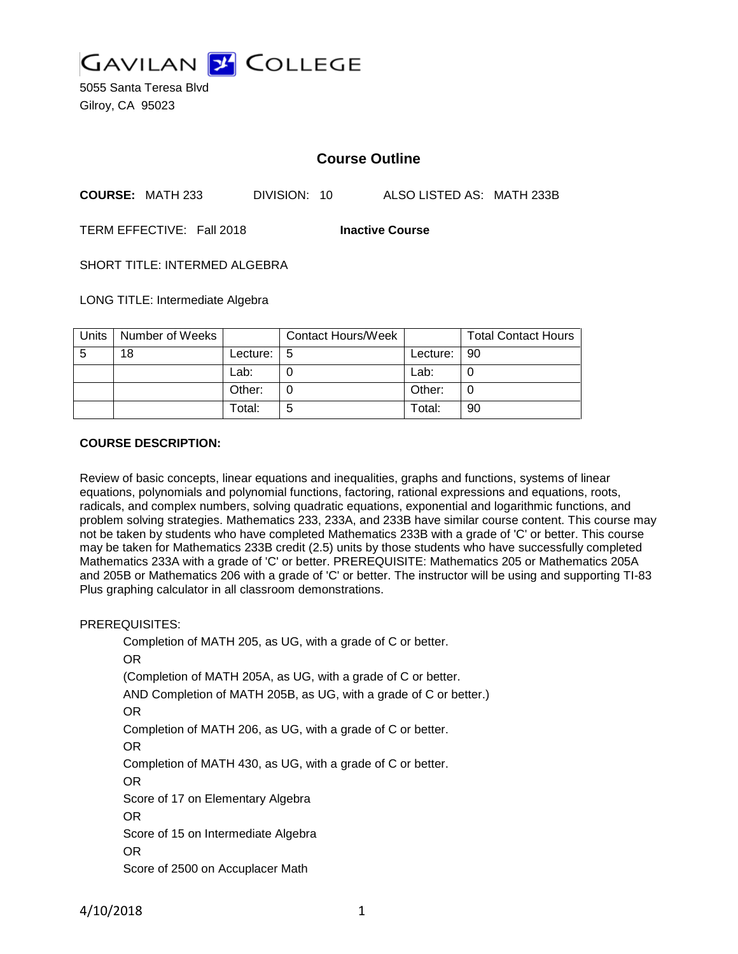

5055 Santa Teresa Blvd Gilroy, CA 95023

# **Course Outline**

**COURSE:** MATH 233 DIVISION: 10 ALSO LISTED AS: MATH 233B

TERM EFFECTIVE: Fall 2018 **Inactive Course**

SHORT TITLE: INTERMED ALGEBRA

LONG TITLE: Intermediate Algebra

| Units | Number of Weeks |               | <b>Contact Hours/Week</b> |            | <b>Total Contact Hours</b> |
|-------|-----------------|---------------|---------------------------|------------|----------------------------|
| -5    | 18              | Lecture: $15$ |                           | Lecture: I | l 90                       |
|       |                 | Lab:          |                           | Lab:       |                            |
|       |                 | Other:        |                           | Other:     |                            |
|       |                 | Total:        | 5                         | Total:     | 90                         |

## **COURSE DESCRIPTION:**

Review of basic concepts, linear equations and inequalities, graphs and functions, systems of linear equations, polynomials and polynomial functions, factoring, rational expressions and equations, roots, radicals, and complex numbers, solving quadratic equations, exponential and logarithmic functions, and problem solving strategies. Mathematics 233, 233A, and 233B have similar course content. This course may not be taken by students who have completed Mathematics 233B with a grade of 'C' or better. This course may be taken for Mathematics 233B credit (2.5) units by those students who have successfully completed Mathematics 233A with a grade of 'C' or better. PREREQUISITE: Mathematics 205 or Mathematics 205A and 205B or Mathematics 206 with a grade of 'C' or better. The instructor will be using and supporting TI-83 Plus graphing calculator in all classroom demonstrations.

### PREREQUISITES:

Completion of MATH 205, as UG, with a grade of C or better. OR (Completion of MATH 205A, as UG, with a grade of C or better. AND Completion of MATH 205B, as UG, with a grade of C or better.) OR Completion of MATH 206, as UG, with a grade of C or better. OR Completion of MATH 430, as UG, with a grade of C or better. OR Score of 17 on Elementary Algebra OR Score of 15 on Intermediate Algebra OR Score of 2500 on Accuplacer Math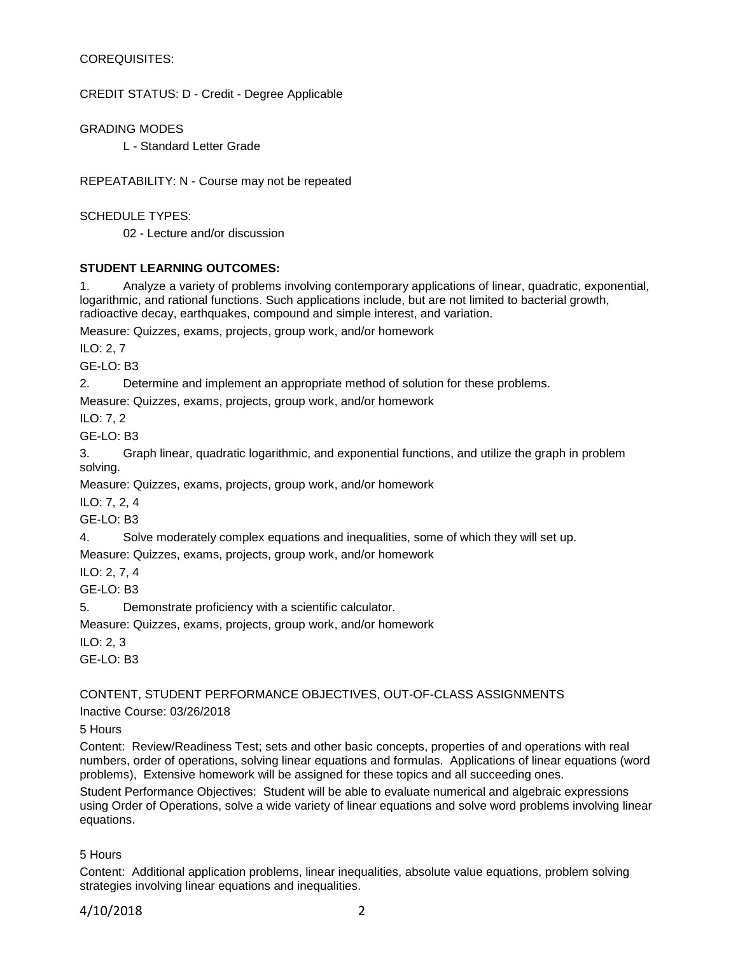# COREQUISITES:

CREDIT STATUS: D - Credit - Degree Applicable

GRADING MODES

L - Standard Letter Grade

REPEATABILITY: N - Course may not be repeated

SCHEDULE TYPES:

02 - Lecture and/or discussion

# **STUDENT LEARNING OUTCOMES:**

1. Analyze a variety of problems involving contemporary applications of linear, quadratic, exponential, logarithmic, and rational functions. Such applications include, but are not limited to bacterial growth, radioactive decay, earthquakes, compound and simple interest, and variation.

Measure: Quizzes, exams, projects, group work, and/or homework

ILO: 2, 7

GE-LO: B3

2. Determine and implement an appropriate method of solution for these problems.

Measure: Quizzes, exams, projects, group work, and/or homework

ILO: 7, 2

GE-LO: B3

3. Graph linear, quadratic logarithmic, and exponential functions, and utilize the graph in problem solving.

Measure: Quizzes, exams, projects, group work, and/or homework

ILO: 7, 2, 4

GE-LO: B3

4. Solve moderately complex equations and inequalities, some of which they will set up.

Measure: Quizzes, exams, projects, group work, and/or homework

ILO: 2, 7, 4

 $GF-I O<sup>+</sup> B3$ 

5. Demonstrate proficiency with a scientific calculator.

Measure: Quizzes, exams, projects, group work, and/or homework

ILO: 2, 3

GE-LO: B3

CONTENT, STUDENT PERFORMANCE OBJECTIVES, OUT-OF-CLASS ASSIGNMENTS

Inactive Course: 03/26/2018

5 Hours

Content: Review/Readiness Test; sets and other basic concepts, properties of and operations with real numbers, order of operations, solving linear equations and formulas. Applications of linear equations (word problems), Extensive homework will be assigned for these topics and all succeeding ones.

Student Performance Objectives: Student will be able to evaluate numerical and algebraic expressions using Order of Operations, solve a wide variety of linear equations and solve word problems involving linear equations.

5 Hours

Content: Additional application problems, linear inequalities, absolute value equations, problem solving strategies involving linear equations and inequalities.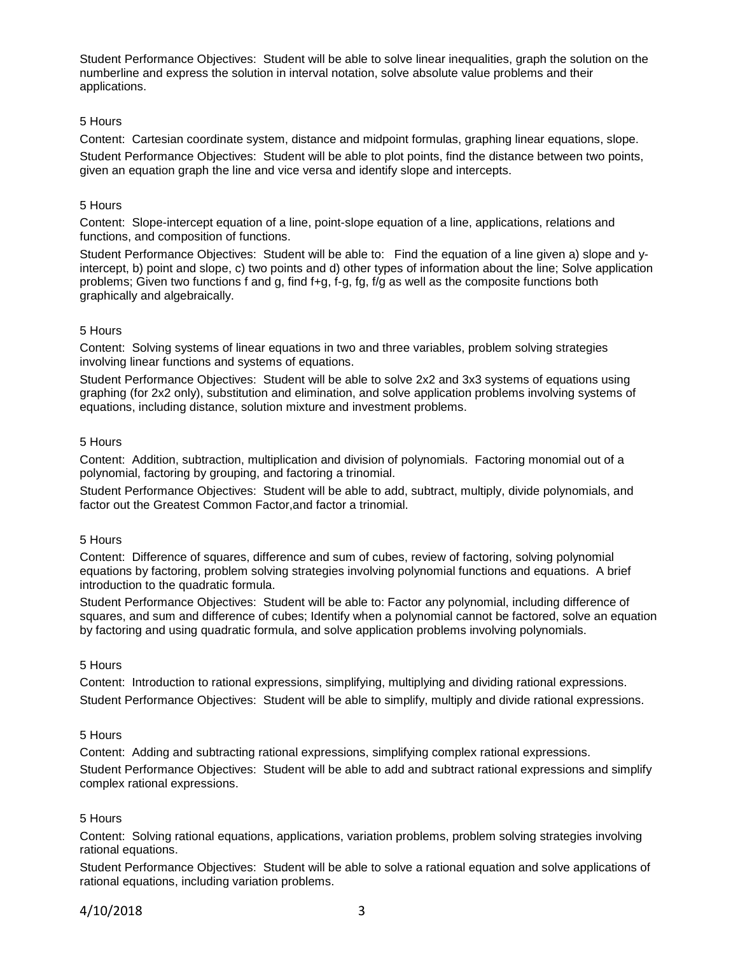Student Performance Objectives: Student will be able to solve linear inequalities, graph the solution on the numberline and express the solution in interval notation, solve absolute value problems and their applications.

## 5 Hours

Content: Cartesian coordinate system, distance and midpoint formulas, graphing linear equations, slope. Student Performance Objectives: Student will be able to plot points, find the distance between two points, given an equation graph the line and vice versa and identify slope and intercepts.

## 5 Hours

Content: Slope-intercept equation of a line, point-slope equation of a line, applications, relations and functions, and composition of functions.

Student Performance Objectives: Student will be able to: Find the equation of a line given a) slope and yintercept, b) point and slope, c) two points and d) other types of information about the line; Solve application problems; Given two functions f and g, find f+g, f-g, fg, f/g as well as the composite functions both graphically and algebraically.

## 5 Hours

Content: Solving systems of linear equations in two and three variables, problem solving strategies involving linear functions and systems of equations.

Student Performance Objectives: Student will be able to solve 2x2 and 3x3 systems of equations using graphing (for 2x2 only), substitution and elimination, and solve application problems involving systems of equations, including distance, solution mixture and investment problems.

### 5 Hours

Content: Addition, subtraction, multiplication and division of polynomials. Factoring monomial out of a polynomial, factoring by grouping, and factoring a trinomial.

Student Performance Objectives: Student will be able to add, subtract, multiply, divide polynomials, and factor out the Greatest Common Factor,and factor a trinomial.

### 5 Hours

Content: Difference of squares, difference and sum of cubes, review of factoring, solving polynomial equations by factoring, problem solving strategies involving polynomial functions and equations. A brief introduction to the quadratic formula.

Student Performance Objectives: Student will be able to: Factor any polynomial, including difference of squares, and sum and difference of cubes; Identify when a polynomial cannot be factored, solve an equation by factoring and using quadratic formula, and solve application problems involving polynomials.

### 5 Hours

Content: Introduction to rational expressions, simplifying, multiplying and dividing rational expressions. Student Performance Objectives: Student will be able to simplify, multiply and divide rational expressions.

# 5 Hours

Content: Adding and subtracting rational expressions, simplifying complex rational expressions. Student Performance Objectives: Student will be able to add and subtract rational expressions and simplify complex rational expressions.

# 5 Hours

Content: Solving rational equations, applications, variation problems, problem solving strategies involving rational equations.

Student Performance Objectives: Student will be able to solve a rational equation and solve applications of rational equations, including variation problems.

# 4/10/2018 3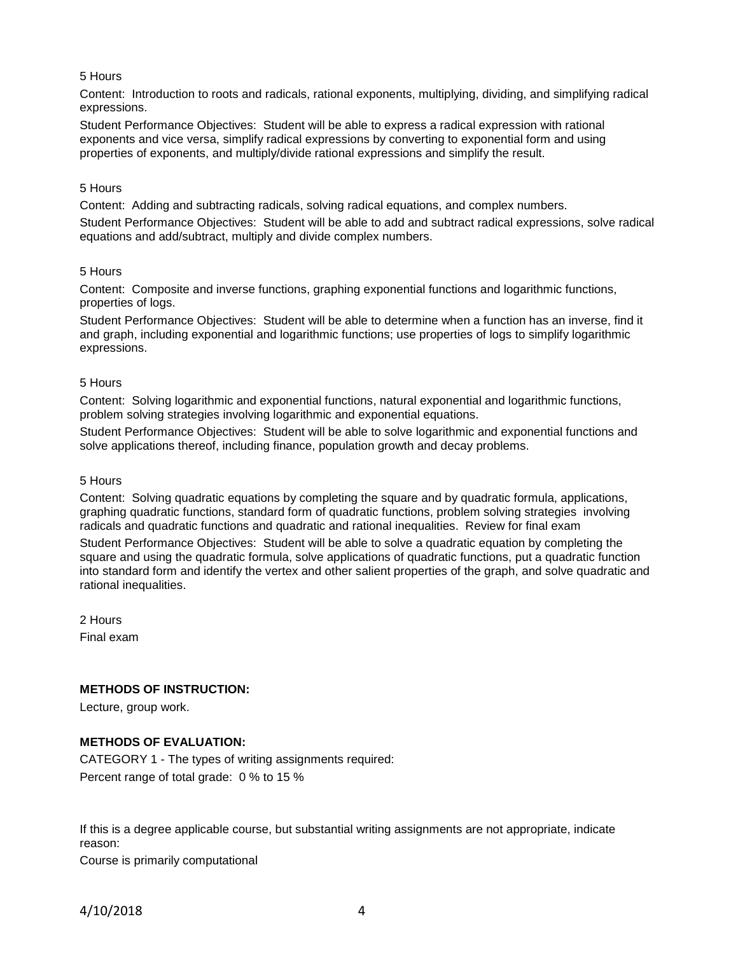# 5 Hours

Content: Introduction to roots and radicals, rational exponents, multiplying, dividing, and simplifying radical expressions.

Student Performance Objectives: Student will be able to express a radical expression with rational exponents and vice versa, simplify radical expressions by converting to exponential form and using properties of exponents, and multiply/divide rational expressions and simplify the result.

## 5 Hours

Content: Adding and subtracting radicals, solving radical equations, and complex numbers. Student Performance Objectives: Student will be able to add and subtract radical expressions, solve radical equations and add/subtract, multiply and divide complex numbers.

## 5 Hours

Content: Composite and inverse functions, graphing exponential functions and logarithmic functions, properties of logs.

Student Performance Objectives: Student will be able to determine when a function has an inverse, find it and graph, including exponential and logarithmic functions; use properties of logs to simplify logarithmic expressions.

## 5 Hours

Content: Solving logarithmic and exponential functions, natural exponential and logarithmic functions, problem solving strategies involving logarithmic and exponential equations.

Student Performance Objectives: Student will be able to solve logarithmic and exponential functions and solve applications thereof, including finance, population growth and decay problems.

### 5 Hours

Content: Solving quadratic equations by completing the square and by quadratic formula, applications, graphing quadratic functions, standard form of quadratic functions, problem solving strategies involving radicals and quadratic functions and quadratic and rational inequalities. Review for final exam

Student Performance Objectives: Student will be able to solve a quadratic equation by completing the square and using the quadratic formula, solve applications of quadratic functions, put a quadratic function into standard form and identify the vertex and other salient properties of the graph, and solve quadratic and rational inequalities.

2 Hours Final exam

# **METHODS OF INSTRUCTION:**

Lecture, group work.

# **METHODS OF EVALUATION:**

CATEGORY 1 - The types of writing assignments required: Percent range of total grade: 0 % to 15 %

If this is a degree applicable course, but substantial writing assignments are not appropriate, indicate reason:

Course is primarily computational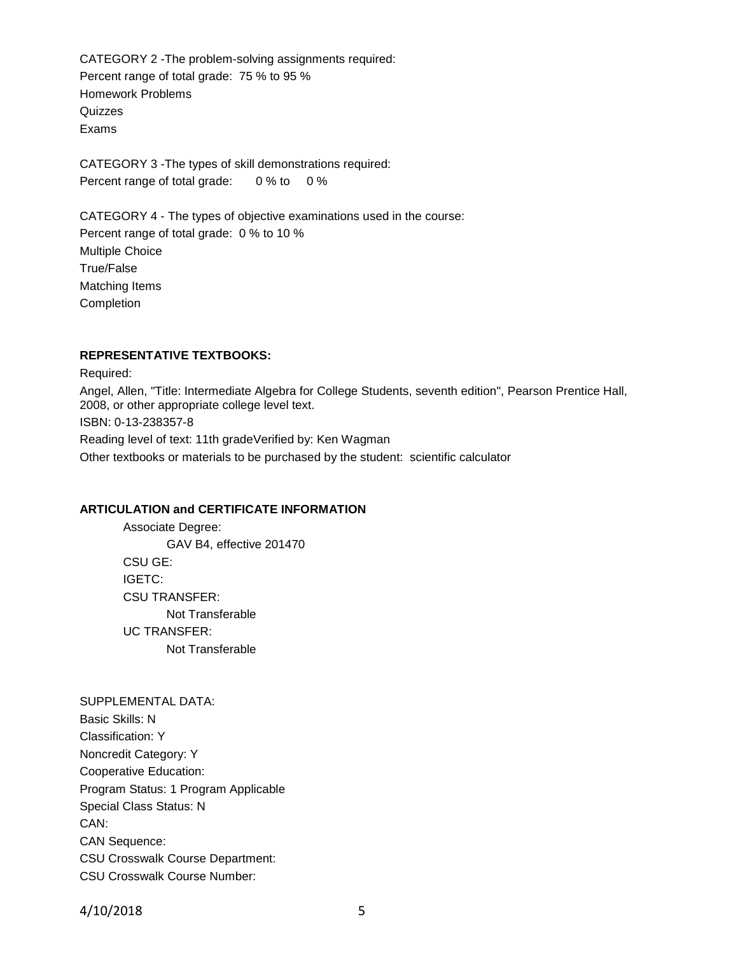CATEGORY 2 -The problem-solving assignments required: Percent range of total grade: 75 % to 95 % Homework Problems **Quizzes** Exams

CATEGORY 3 -The types of skill demonstrations required: Percent range of total grade: 0 % to 0 %

CATEGORY 4 - The types of objective examinations used in the course: Percent range of total grade: 0 % to 10 % Multiple Choice True/False Matching Items Completion

## **REPRESENTATIVE TEXTBOOKS:**

Required: Angel, Allen, "Title: Intermediate Algebra for College Students, seventh edition", Pearson Prentice Hall, 2008, or other appropriate college level text. ISBN: 0-13-238357-8 Reading level of text: 11th gradeVerified by: Ken Wagman Other textbooks or materials to be purchased by the student: scientific calculator

### **ARTICULATION and CERTIFICATE INFORMATION**

Associate Degree: GAV B4, effective 201470 CSU GE: IGETC: CSU TRANSFER: Not Transferable UC TRANSFER: Not Transferable

### SUPPLEMENTAL DATA:

Basic Skills: N Classification: Y Noncredit Category: Y Cooperative Education: Program Status: 1 Program Applicable Special Class Status: N CAN: CAN Sequence: CSU Crosswalk Course Department: CSU Crosswalk Course Number:

4/10/2018 5